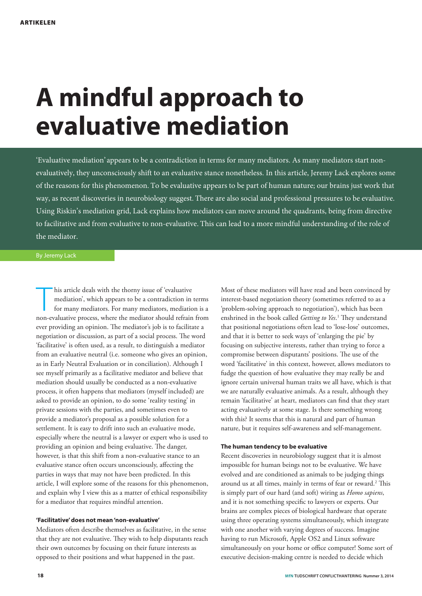# **A mindful approach to evaluative mediation**

'Evaluative mediation' appears to be a contradiction in terms for many mediators. As many mediators start nonevaluatively, they unconsciously shift to an evaluative stance nonetheless. In this article, Jeremy Lack explores some of the reasons for this phenomenon. To be evaluative appears to be part of human nature; our brains just work that way, as recent discoveries in neurobiology suggest. There are also social and professional pressures to be evaluative. Using Riskin's mediation grid, Lack explains how mediators can move around the quadrants, being from directive to facilitative and from evaluative to non-evaluative. This can lead to a more mindful understanding of the role of the mediator.

#### By Jeremy Lack

his article deals with the thorny issue of 'evaluative mediation', which appears to be a contradiction in terms for many mediators. For many mediators, mediation is a non-evaluative process, where the mediator should refra his article deals with the thorny issue of 'evaluative mediation', which appears to be a contradiction in terms for many mediators. For many mediators, mediation is a ever providing an opinion. The mediator's job is to facilitate a negotiation or discussion, as part of a social process. The word 'facilitative' is often used, as a result, to distinguish a mediator from an evaluative neutral (i.e. someone who gives an opinion, as in Early Neutral Evaluation or in conciliation). Although I see myself primarily as a facilitative mediator and believe that mediation should usually be conducted as a non-evaluative process, it often happens that mediators (myself included) are asked to provide an opinion, to do some 'reality testing' in private sessions with the parties, and sometimes even to provide a mediator's proposal as a possible solution for a settlement. It is easy to drift into such an evaluative mode, especially where the neutral is a lawyer or expert who is used to providing an opinion and being evaluative. The danger, however, is that this shift from a non-evaluative stance to an evaluative stance often occurs unconsciously, affecting the parties in ways that may not have been predicted. In this article, I will explore some of the reasons for this phenomenon, and explain why I view this as a matter of ethical responsibility for a mediator that requires mindful attention.

#### **'Facilitative' does not mean 'non-evaluative'**

Mediators often describe themselves as facilitative, in the sense that they are not evaluative. They wish to help disputants reach their own outcomes by focusing on their future interests as opposed to their positions and what happened in the past.

interest-based negotiation theory (sometimes referred to as a 'problem-solving approach to negotiation'), which has been enshrined in the book called *Getting to Yes*. 1 They understand that positional negotiations often lead to 'lose-lose' outcomes, and that it is better to seek ways of 'enlarging the pie' by focusing on subjective interests, rather than trying to force a compromise between disputants' positions. The use of the word 'facilitative' in this context, however, allows mediators to fudge the question of how evaluative they may really be and ignore certain universal human traits we all have, which is that we are naturally evaluative animals. As a result, although they remain 'facilitative' at heart, mediators can find that they start acting evaluatively at some stage. Is there something wrong with this? It seems that this is natural and part of human nature, but it requires self-awareness and self-management.

Most of these mediators will have read and been convinced by

#### **The human tendency to be evaluative**

Recent discoveries in neurobiology suggest that it is almost impossible for human beings not to be evaluative. We have evolved and are conditioned as animals to be judging things around us at all times, mainly in terms of fear or reward.<sup>2</sup> This is simply part of our hard (and soft) wiring as *Homo sapiens*, and it is not something specific to lawyers or experts. Our brains are complex pieces of biological hardware that operate using three operating systems simultaneously, which integrate with one another with varying degrees of success. Imagine having to run Microsoft, Apple OS2 and Linux software simultaneously on your home or office computer! Some sort of executive decision-making centre is needed to decide which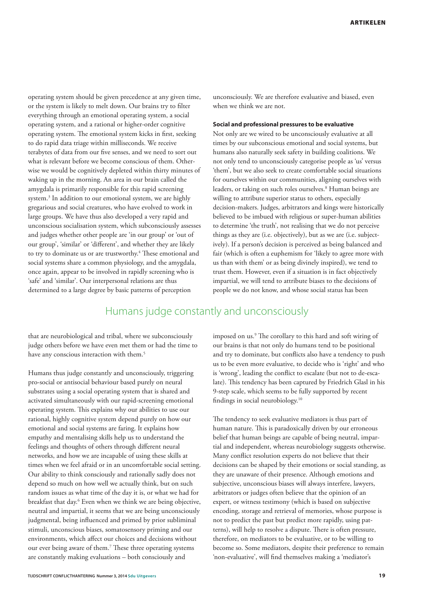operating system should be given precedence at any given time, or the system is likely to melt down. Our brains try to filter everything through an emotional operating system, a social operating system, and a rational or higher-order cognitive operating system. The emotional system kicks in first, seeking to do rapid data triage within milliseconds. We receive terabytes of data from our five senses, and we need to sort out what is relevant before we become conscious of them. Otherwise we would be cognitively depleted within thirty minutes of waking up in the morning. An area in our brain called the amygdala is primarily responsible for this rapid screening system.3 In addition to our emotional system, we are highly gregarious and social creatures, who have evolved to work in large groups. We have thus also developed a very rapid and unconscious socialisation system, which subconsciously assesses and judges whether other people are 'in our group' or 'out of our group', 'similar' or 'different', and whether they are likely to try to dominate us or are trustworthy.<sup>4</sup> These emotional and social systems share a common physiology, and the amygdala, once again, appear to be involved in rapidly screening who is 'safe' and 'similar'. Our interpersonal relations are thus determined to a large degree by basic patterns of perception

unconsciously. We are therefore evaluative and biased, even when we think we are not.

#### **Social and professional pressures to be evaluative**

Not only are we wired to be unconsciously evaluative at all times by our subconscious emotional and social systems, but humans also naturally seek safety in building coalitions. We not only tend to unconsciously categorise people as 'us' versus 'them', but we also seek to create comfortable social situations for ourselves within our communities, aligning ourselves with leaders, or taking on such roles ourselves.<sup>8</sup> Human beings are willing to attribute superior status to others, especially decision-makers. Judges, arbitrators and kings were historically believed to be imbued with religious or super-human abilities to determine 'the truth', not realising that we do not perceive things as they are (i.e. objectively), but as we are (i.e. subjectively). If a person's decision is perceived as being balanced and fair (which is often a euphemism for 'likely to agree more with us than with them' or as being divinely inspired), we tend to trust them. However, even if a situation is in fact objectively impartial, we will tend to attribute biases to the decisions of people we do not know, and whose social status has been

### Humans judge constantly and unconsciously

that are neurobiological and tribal, where we subconsciously judge others before we have even met them or had the time to have any conscious interaction with them.<sup>5</sup>

Humans thus judge constantly and unconsciously, triggering pro-social or antisocial behaviour based purely on neural substrates using a social operating system that is shared and activated simultaneously with our rapid-screening emotional operating system. This explains why our abilities to use our rational, highly cognitive system depend purely on how our emotional and social systems are faring. It explains how empathy and mentalising skills help us to understand the feelings and thoughts of others through different neural networks, and how we are incapable of using these skills at times when we feel afraid or in an uncomfortable social setting. Our ability to think consciously and rationally sadly does not depend so much on how well we actually think, but on such random issues as what time of the day it is, or what we had for breakfast that day.6 Even when we think we are being objective, neutral and impartial, it seems that we are being unconsciously judgmental, being influenced and primed by prior subliminal stimuli, unconscious biases, somatosensory priming and our environments, which affect our choices and decisions without our ever being aware of them.<sup>7</sup> These three operating systems are constantly making evaluations – both consciously and

**TIJDSCHRIFT CONFLICTHANTERING Nummer 3, 2014 Sdu Uitgevers 19**

imposed on us.<sup>9</sup> The corollary to this hard and soft wiring of our brains is that not only do humans tend to be positional and try to dominate, but conflicts also have a tendency to push us to be even more evaluative, to decide who is 'right' and who is 'wrong', leading the conflict to escalate (but not to de-escalate). This tendency has been captured by Friedrich Glasl in his 9-step scale, which seems to be fully supported by recent findings in social neurobiology.10

The tendency to seek evaluative mediators is thus part of human nature. This is paradoxically driven by our erroneous belief that human beings are capable of being neutral, impartial and independent, whereas neurobiology suggests otherwise. Many conflict resolution experts do not believe that their decisions can be shaped by their emotions or social standing, as they are unaware of their presence. Although emotions and subjective, unconscious biases will always interfere, lawyers, arbitrators or judges often believe that the opinion of an expert, or witness testimony (which is based on subjective encoding, storage and retrieval of memories, whose purpose is not to predict the past but predict more rapidly, using patterns), will help to resolve a dispute. There is often pressure, therefore, on mediators to be evaluative, or to be willing to become so. Some mediators, despite their preference to remain 'non-evaluative', will find themselves making a 'mediator's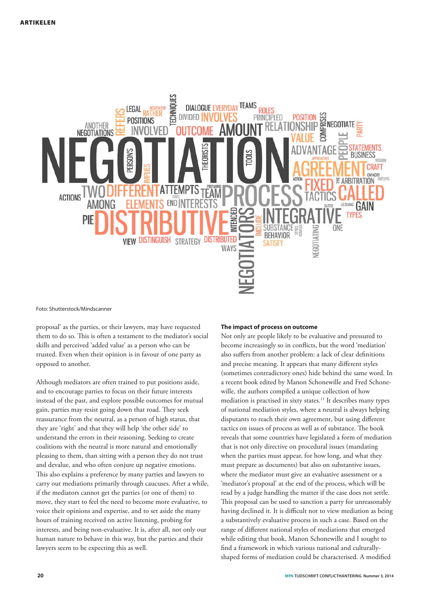

#### Foto: Shutterstock/Mindscanner

proposal' as the parties, or their lawyers, may have requested them to do so. This is often a testament to the mediator's social skills and perceived 'added value' as a person who can be trusted. Even when their opinion is in favour of one party as opposed to another.

Although mediators are often trained to put positions aside, and to encourage parties to focus on their future interests instead of the past, and explore possible outcomes for mutual gain, parties may resist going down that road. They seek reassurance from the neutral, as a person of high status, that they are 'right' and that they will help 'the other side' to understand the errors in their reasoning. Seeking to create coalitions with the neutral is more natural and emotionally pleasing to them, than sitting with a person they do not trust and devalue, and who often conjure up negative emotions. This also explains a preference by many parties and lawyers to carry out mediations primarily through caucuses. After a while, if the mediators cannot get the parties (or one of them) to move, they start to feel the need to become more evaluative, to voice their opinions and expertise, and to set aside the many hours of training received on active listening, probing for interests, and being non-evaluative. It is, after all, not only our human nature to behave in this way, but the parties and their lawyers seem to be expecting this as well.

#### **The impact of process on outcome**

Not only are people likely to be evaluative and pressured to become increasingly so in conflicts, but the word 'mediation' also suffers from another problem: a lack of clear definitions and precise meaning. It appears that many different styles (sometimes contradictory ones) hide behind the same word. In a recent book edited by Manon Schonewille and Fred Schonewille, the authors compiled a unique collection of how mediation is practised in sixty states.11 It describes many types of national mediation styles, where a neutral is always helping disputants to reach their own agreement, but using different tactics on issues of process as well as of substance. The book reveals that some countries have legislated a form of mediation that is not only directive on procedural issues (mandating when the parties must appear, for how long, and what they must prepare as documents) but also on substantive issues, where the mediator must give an evaluative assessment or a 'mediator's proposal' at the end of the process, which will be read by a judge handling the matter if the case does not settle. This proposal can be used to sanction a party for unreasonably having declined it. It is difficult not to view mediation as being a substantively evaluative process in such a case. Based on the range of different national styles of mediations that emerged while editing that book, Manon Schonewille and I sought to find a framework in which various national and culturallyshaped forms of mediation could be characterised. A modified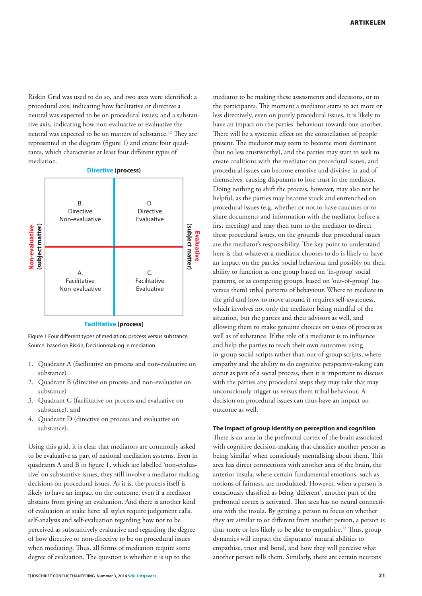Riskin Grid was used to do so, and two axes were identified: a procedural axis, indicating how facilitative or directive a neutral was expected to be on procedural issues; and a substantive axis, indicating how non-evaluative or evaluative the neutral was expected to be on matters of substance.12 They are represented in the diagram (figure 1) and create four quadrants, which characterise at least four different types of mediation.



Figure 1 Four different types of mediation: process versus substance Source: based on Riskin, Decisionmaking in mediation

- 1. Quadrant A (facilitative on process and non-evaluative on substance)
- 2. Quadrant B (directive on process and non-evaluative on substance)
- 3. Quadrant C (facilitative on process and evaluative on substance), and
- 4. Quadrant D (directive on process and evaluative on substance).

Using this grid, it is clear that mediators are commonly asked to be evaluative as part of national mediation systems. Even in quadrants A and B in figure 1, which are labelled 'non-evaluative' on substantive issues, they still involve a mediator making decisions on procedural issues. As it is, the process itself is likely to have an impact on the outcome, even if a mediator abstains from giving an evaluation. And there is another kind of evaluation at stake here: all styles require judgement calls, self-analysis and self-evaluation regarding how not to be perceived as substantively evaluative and regarding the degree of how directive or non-directive to be on procedural issues when mediating. Thus, all forms of mediation require some degree of evaluation. The question is whether it is up to the

mediator to be making these assessments and decisions, or to the participants. The moment a mediator starts to act more or less directively, even on purely procedural issues, it is likely to have an impact on the parties' behaviour towards one another. There will be a systemic effect on the constellation of people present. The mediator may seem to become more dominant (but no less trustworthy), and the parties may start to seek to create coalitions with the mediator on procedural issues, and procedural issues can become emotive and divisive in and of themselves, causing disputants to lose trust in the mediator. Doing nothing to shift the process, however, may also not be helpful, as the parties may become stuck and entrenched on procedural issues (e.g. whether or not to have caucuses or to share documents and information with the mediator before a first meeting) and may then turn to the mediator to direct these procedural issues, on the grounds that procedural issues are the mediator's responsibility. The key point to understand here is that whatever a mediator chooses to do is likely to have an impact on the parties' social behaviour and possibly on their ability to function as one group based on 'in-group' social patterns, or as competing groups, based on 'out-of-group' (us versus them) tribal patterns of behaviour. Where to mediate in the grid and how to move around it requires self-awareness, which involves not only the mediator being mindful of the situation, but the parties and their advisors as well, and allowing them to make genuine choices on issues of process as well as of substance. If the role of a mediator is to influence and help the parties to reach their own outcomes using in-group social scripts rather than out-of-group scripts, where empathy and the ability to do cognitive perspective-taking can occur as part of a social process, then it is important to discuss with the parties any procedural steps they may take that may unconsciously trigger us versus them tribal behaviour. A decision on procedural issues can thus have an impact on outcome as well.

#### **The impact of group identity on perception and cognition**

There is an area in the prefrontal cortex of the brain associated with cognitive decision-making that classifies another person as being 'similar' when consciously mentalising about them. This area has direct connections with another area of the brain, the anterior insula, where certain fundamental emotions, such as notions of fairness, are modulated. However, when a person is consciously classified as being 'different', another part of the prefrontal cortex is activated. That area has no neural connections with the insula. By getting a person to focus on whether they are similar to or different from another person, a person is thus more or less likely to be able to empathise.<sup>13</sup> Thus, group dynamics will impact the disputants' natural abilities to empathise, trust and bond, and how they will perceive what another person tells them. Similarly, there are certain neurons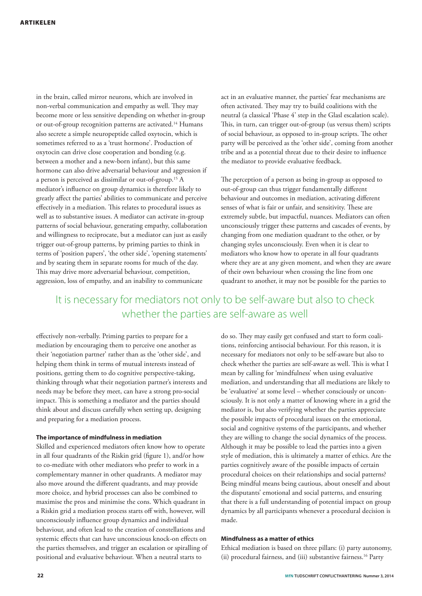in the brain, called mirror neurons, which are involved in non-verbal communication and empathy as well. They may become more or less sensitive depending on whether in-group or out-of-group recognition patterns are activated.<sup>14</sup> Humans also secrete a simple neuropeptide called oxytocin, which is sometimes referred to as a 'trust hormone'. Production of oxytocin can drive close cooperation and bonding (e.g. between a mother and a new-born infant), but this same hormone can also drive adversarial behaviour and aggression if a person is perceived as dissimilar or out-of-group.15 A mediator's influence on group dynamics is therefore likely to greatly affect the parties' abilities to communicate and perceive effectively in a mediation. This relates to procedural issues as well as to substantive issues. A mediator can activate in-group patterns of social behaviour, generating empathy, collaboration and willingness to reciprocate, but a mediator can just as easily trigger out-of-group patterns, by priming parties to think in terms of 'position papers', 'the other side', 'opening statements' and by seating them in separate rooms for much of the day. This may drive more adversarial behaviour, competition, aggression, loss of empathy, and an inability to communicate

act in an evaluative manner, the parties' fear mechanisms are often activated. They may try to build coalitions with the neutral (a classical 'Phase 4' step in the Glasl escalation scale). This, in turn, can trigger out-of-group (us versus them) scripts of social behaviour, as opposed to in-group scripts. The other party will be perceived as the 'other side', coming from another tribe and as a potential threat due to their desire to influence the mediator to provide evaluative feedback.

The perception of a person as being in-group as opposed to out-of-group can thus trigger fundamentally different behaviour and outcomes in mediation, activating different senses of what is fair or unfair, and sensitivity. These are extremely subtle, but impactful, nuances. Mediators can often unconsciously trigger these patterns and cascades of events, by changing from one mediation quadrant to the other, or by changing styles unconsciously. Even when it is clear to mediators who know how to operate in all four quadrants where they are at any given moment, and when they are aware of their own behaviour when crossing the line from one quadrant to another, it may not be possible for the parties to

## It is necessary for mediators not only to be self-aware but also to check whether the parties are self-aware as well

effectively non-verbally. Priming parties to prepare for a mediation by encouraging them to perceive one another as their 'negotiation partner' rather than as the 'other side', and helping them think in terms of mutual interests instead of positions, getting them to do cognitive perspective-taking, thinking through what their negotiation partner's interests and needs may be before they meet, can have a strong pro-social impact. This is something a mediator and the parties should think about and discuss carefully when setting up, designing and preparing for a mediation process.

#### **The importance of mindfulness in mediation**

Skilled and experienced mediators often know how to operate in all four quadrants of the Riskin grid (figure 1), and/or how to co-mediate with other mediators who prefer to work in a complementary manner in other quadrants. A mediator may also move around the different quadrants, and may provide more choice, and hybrid processes can also be combined to maximise the pros and minimise the cons. Which quadrant in a Riskin grid a mediation process starts off with, however, will unconsciously influence group dynamics and individual behaviour, and often lead to the creation of constellations and systemic effects that can have unconscious knock-on effects on the parties themselves, and trigger an escalation or spiralling of positional and evaluative behaviour. When a neutral starts to

do so. They may easily get confused and start to form coalitions, reinforcing antisocial behaviour. For this reason, it is necessary for mediators not only to be self-aware but also to check whether the parties are self-aware as well. This is what I mean by calling for 'mindfulness' when using evaluative mediation, and understanding that all mediations are likely to be 'evaluative' at some level – whether consciously or unconsciously. It is not only a matter of knowing where in a grid the mediator is, but also verifying whether the parties appreciate the possible impacts of procedural issues on the emotional, social and cognitive systems of the participants, and whether they are willing to change the social dynamics of the process. Although it may be possible to lead the parties into a given style of mediation, this is ultimately a matter of ethics. Are the parties cognitively aware of the possible impacts of certain procedural choices on their relationships and social patterns? Being mindful means being cautious, about oneself and about the disputants' emotional and social patterns, and ensuring that there is a full understanding of potential impact on group dynamics by all participants whenever a procedural decision is made.

#### **Mindfulness as a matter of ethics**

Ethical mediation is based on three pillars: (i) party autonomy, (ii) procedural fairness, and (iii) substantive fairness.16 Party